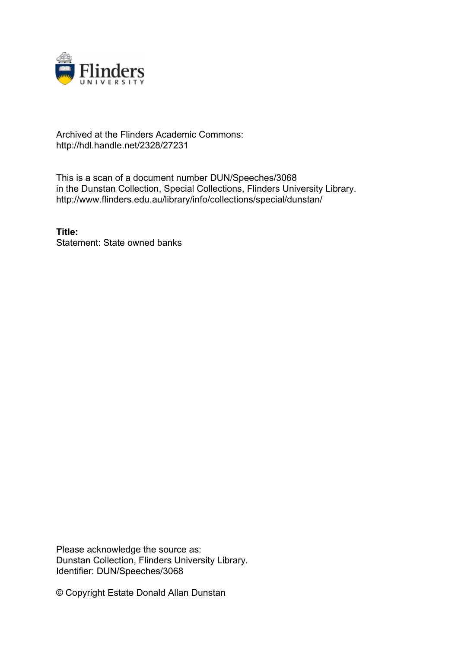

## Archived at the Flinders Academic Commons: http://hdl.handle.net/2328/27231

This is a scan of a document number DUN/Speeches/3068 in the Dunstan Collection, Special Collections, Flinders University Library. http://www.flinders.edu.au/library/info/collections/special/dunstan/

**Title:** Statement: State owned banks

Please acknowledge the source as: Dunstan Collection, Flinders University Library. Identifier: DUN/Speeches/3068

© Copyright Estate Donald Allan Dunstan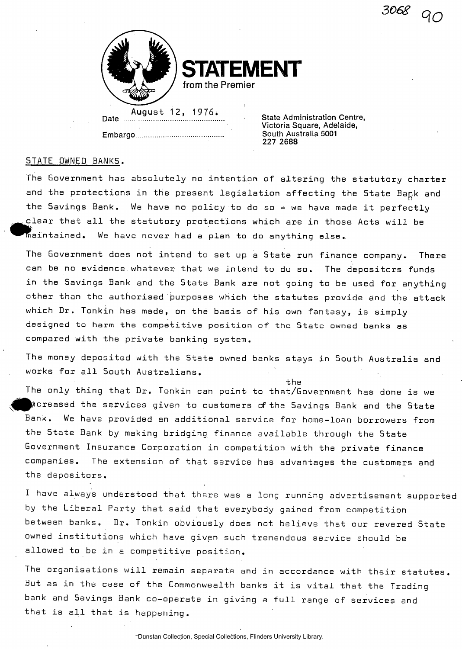3068



**BENT from the Premier** 

August 12, 1 976\* \_ , . . \_<sup>t</sup>

**State Administration Centre. Victoria Square, Adelaide, Embargo South Australia 5001 227 2688** 

## STATE OWNED BANKS.

The Government has absolutely no intention of altering the statutory charter and the protections in the present legislation affecting the State Bapk and the Savings Bank. We have no policy to do so  $\div$  we have made it perfectly clear that all the statutory protections which are in those Acts will be  $^\top$ maintained. We have never had a plan to do anything else.

The Government does not intend to set up a State run finance company.. There can be no evidence.whatever that we intend to do so. The depositors funds in the Savings Bank and the State Bank are not going to be used for anything other than the authorised purposes which the statutes provide and the attack which Dr. Tonkin has made, on the basis of his own fantasy, is simply designed to harm the competitive position of the State owned banks as compared with the private banking system.

The money deposited with the State owned banks stays in South Australia and works for all South Australians.

the

The only thing that Dr. Tonkin can point to that/Government has done is we Increased the services given to customers of the Savings Bank and the State Bank. We have provided an additional service for home-loan borrowers from the State Bank by making bridging finance available through the State Government Insurance Corporation in competition with the private finance companies. The extension of that service has advantages the customers and the depositors.

I have always understood that there was a long running advertisement supported by the Liberal Party that said that everybody gained from competition between banks. Dr. Tonkin obviously does not believe that our revered State owned institutions which have given such tremendous service should be allowed to be in a competitive position.

The organisations will remain separate and in accordance with their statutes. But as in the case of the Commonwealth banks it is vital that the Trading bank and Savings Bank co-operate in giving a full range of services and that is all that is happening.